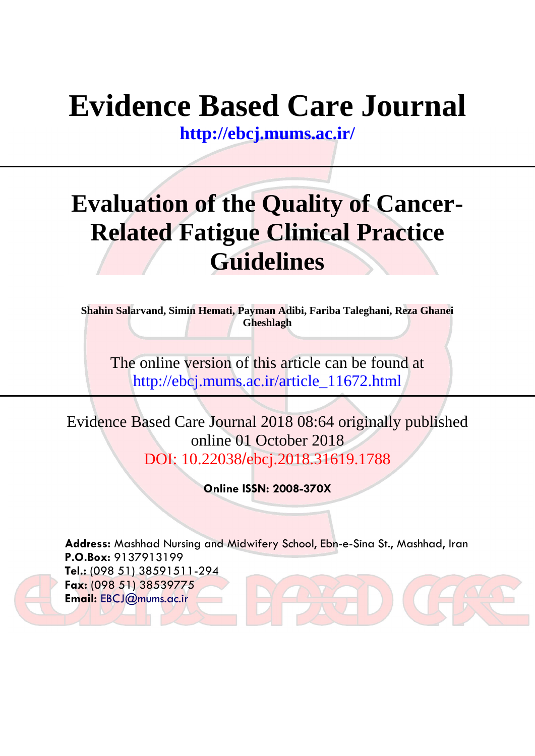# **Evidence Based Care Journal**

**<http://ebcj.mums.ac.ir/>**

## **Evaluation of the Quality of Cancer-Related Fatigue Clinical Practice Guidelines**

**Shahin Salarvand, Simin Hemati, Payman Adibi, Fariba Taleghani, Reza Ghanei Gheshlagh**

The online version of this article can be found at http://ebcj.mums.ac.ir/article\_11672.html

Evidence Based Care Journal 2018 08:64 originally published online 01 October 2018 DOI: 10.22038/ebcj.2018.31619.1788

**Online ISSN: 2008-370X**

**Address:** Mashhad Nursing and Midwifery School, Ebn-e-Sina St., Mashhad, Iran **P.O.Box:** 9137913199 **Tel.:** (098 51) 38591511-294 **Fax:** (098 51) 38539775 **Email:** [EBCJ@mums.ac.ir](mailto:EBCJ@mums.ac.ir)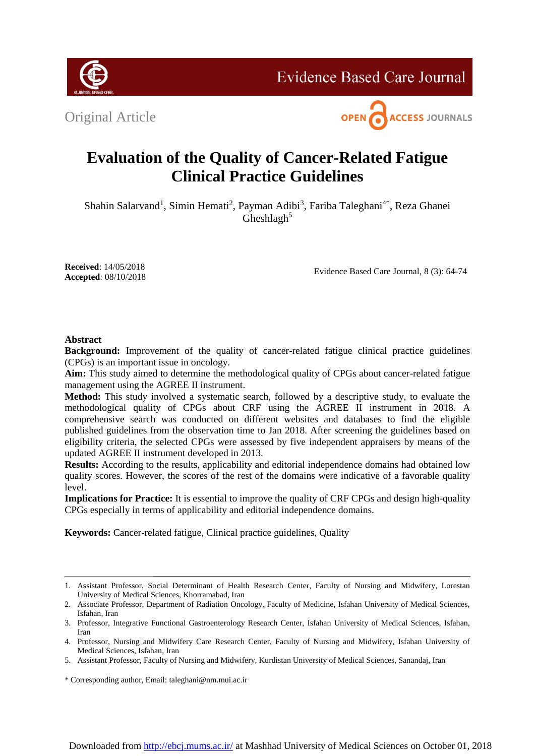Original Article



**Evidence Based Care Journal** 

### **Evaluation of the Quality of Cancer-Related Fatigue Clinical Practice Guidelines**

Shahin Salarvand<sup>1</sup>, Simin Hemati<sup>2</sup>, Payman Adibi<sup>3</sup>, Fariba Taleghani<sup>4\*</sup>, Reza Ghanei Gheshlagh $5$ 

**Received**: 14/05/2018 **Accepted**: 08/10/2018

Evidence Based Care Journal, 8 (3): 64-74

#### **Abstract**

**Background:** Improvement of the quality of cancer-related fatigue clinical practice guidelines (CPGs) is an important issue in oncology.

**Aim:** This study aimed to determine the methodological quality of CPGs about cancer-related fatigue management using the AGREE II instrument.

**Method:** This study involved a systematic search, followed by a descriptive study, to evaluate the methodological quality of CPGs about CRF using the AGREE II instrument in 2018. A comprehensive search was conducted on different websites and databases to find the eligible published guidelines from the observation time to Jan 2018. After screening the guidelines based on eligibility criteria, the selected CPGs were assessed by five independent appraisers by means of the updated AGREE II instrument developed in 2013.

**Results:** According to the results, applicability and editorial independence domains had obtained low quality scores. However, the scores of the rest of the domains were indicative of a favorable quality level.

**Implications for Practice:** It is essential to improve the quality of CRF CPGs and design high-quality CPGs especially in terms of applicability and editorial independence domains.

**Keywords:** Cancer-related fatigue, Clinical practice guidelines, Quality

<sup>1.</sup> Assistant Professor, Social Determinant of Health Research Center, Faculty of Nursing and Midwifery, Lorestan University of Medical Sciences, Khorramabad, Iran

<sup>2.</sup> Associate Professor, Department of Radiation Oncology, Faculty of Medicine, Isfahan University of Medical Sciences, Isfahan, Iran

<sup>3.</sup> Professor, Integrative Functional Gastroenterology Research Center, Isfahan University of Medical Sciences, Isfahan, Iran

<sup>4.</sup> Professor, Nursing and Midwifery Care Research Center, Faculty of Nursing and Midwifery, Isfahan University of Medical Sciences, Isfahan, Iran

<sup>5.</sup> Assistant Professor, Faculty of Nursing and Midwifery, Kurdistan University of Medical Sciences, Sanandaj, Iran

<sup>\*</sup> Corresponding author, Email: taleghani@nm.mui.ac.ir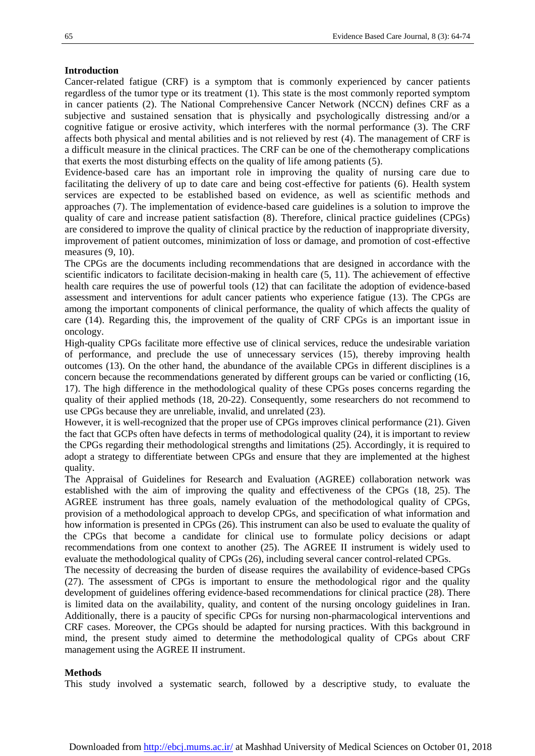#### **Introduction**

Cancer-related fatigue (CRF) is a symptom that is commonly experienced by cancer patients regardless of the tumor type or its treatment [\(1\)](#page-9-0). This state is the most commonly reported symptom in cancer patients [\(2\)](#page-9-1). The National Comprehensive Cancer Network (NCCN) defines CRF as a subjective and sustained sensation that is physically and psychologically distressing and/or a cognitive fatigue or erosive activity, which interferes with the normal performance [\(3\)](#page-9-2). The CRF affects both physical and mental abilities and is not relieved by rest [\(4\)](#page-9-3). The management of CRF is a difficult measure in the clinical practices. The CRF can be one of the chemotherapy complications that exerts the most disturbing effects on the quality of life among patients [\(5\)](#page-9-4).

Evidence-based care has an important role in improving the quality of nursing care due to facilitating the delivery of up to date care and being cost-effective for patients [\(6\)](#page-9-5). Health system services are expected to be established based on evidence, as well as scientific methods and approaches [\(7\)](#page-9-6). The implementation of evidence-based care guidelines is a solution to improve the quality of care and increase patient satisfaction [\(8\)](#page-9-7). Therefore, clinical practice guidelines (CPGs) are considered to improve the quality of clinical practice by the reduction of inappropriate diversity, improvement of patient outcomes, minimization of loss or damage, and promotion of cost-effective measures [\(9,](#page-9-8) [10\)](#page-9-9).

The CPGs are the documents including recommendations that are designed in accordance with the scientific indicators to facilitate decision-making in health care [\(5,](#page-9-4) [11\)](#page-9-10). The achievement of effective health care requires the use of powerful tools [\(12\)](#page-9-11) that can facilitate the adoption of evidence-based assessment and interventions for adult cancer patients who experience fatigue [\(13\)](#page-9-12). The CPGs are among the important components of clinical performance, the quality of which affects the quality of care [\(14\)](#page-9-13). Regarding this, the improvement of the quality of CRF CPGs is an important issue in oncology.

High-quality CPGs facilitate more effective use of clinical services, reduce the undesirable variation of performance, and preclude the use of unnecessary services [\(15\)](#page-9-14), thereby improving health outcomes [\(13\)](#page-9-12). On the other hand, the abundance of the available CPGs in different disciplines is a concern because the recommendations generated by different groups can be varied or conflicting [\(16,](#page-9-15) [17\)](#page-9-16). The high difference in the methodological quality of these CPGs poses concerns regarding the quality of their applied methods (18, 20[-22\)](#page-10-0). Consequently, some researchers do not recommend to use CPGs because they are unreliable, invalid, and unrelated [\(23\)](#page-10-1).

However, it is well-recognized that the proper use of CPGs improves clinical performance [\(21\)](#page-9-17). Given the fact that GCPs often have defects in terms of methodological quality [\(24\)](#page-10-2), it is important to review the CPGs regarding their methodological strengths and limitations [\(25\)](#page-10-3). Accordingly, it is required to adopt a strategy to differentiate between CPGs and ensure that they are implemented at the highest quality.

The Appraisal of Guidelines for Research and Evaluation (AGREE) collaboration network was established with the aim of improving the quality and effectiveness of the CPGs [\(18,](#page-9-18) [25\)](#page-10-3). The AGREE instrument has three goals, namely evaluation of the methodological quality of CPGs, provision of a methodological approach to develop CPGs, and specification of what information and how information is presented in CPGs [\(26\)](#page-10-4). This instrument can also be used to evaluate the quality of the CPGs that become a candidate for clinical use to formulate policy decisions or adapt recommendations from one context to another [\(25\)](#page-10-3). The AGREE II instrument is widely used to evaluate the methodological quality of CPGs [\(26\)](#page-10-4), including several cancer control-related CPGs.

The necessity of decreasing the burden of disease requires the availability of evidence-based CPGs [\(27\)](#page-10-5). The assessment of CPGs is important to ensure the methodological rigor and the quality development of guidelines offering evidence-based recommendations for clinical practice [\(28\)](#page-10-6). There is limited data on the availability, quality, and content of the nursing oncology guidelines in Iran. Additionally, there is a paucity of specific CPGs for nursing non-pharmacological interventions and CRF cases. Moreover, the CPGs should be adapted for nursing practices. With this background in mind, the present study aimed to determine the methodological quality of CPGs about CRF management using the AGREE II instrument.

#### **Methods**

This study involved a systematic search, followed by a descriptive study, to evaluate the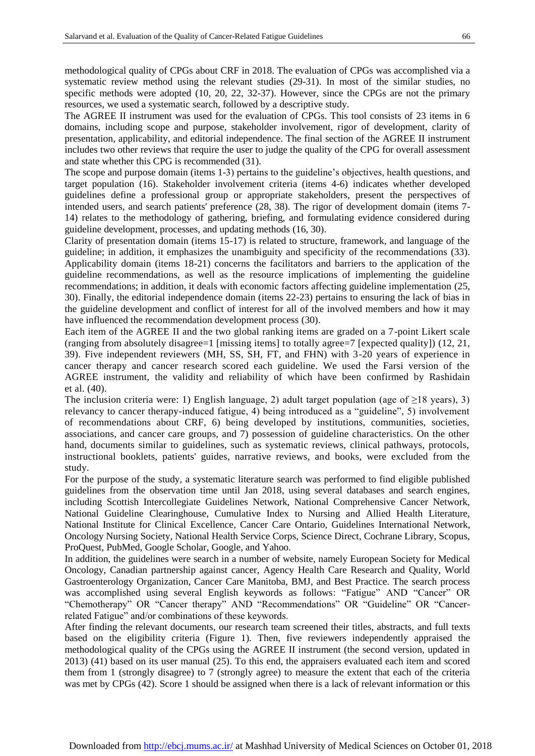methodological quality of CPGs about CRF in 2018. The evaluation of CPGs was accomplished via a systematic review method using the relevant studies [\(29-31\)](#page-10-7). In most of the similar studies, no specific methods were adopted [\(10,](#page-9-9) [20,](#page-9-19) [22,](#page-10-0) [32-37\)](#page-10-8). However, since the CPGs are not the primary resources, we used a systematic search, followed by a descriptive study.

The AGREE II instrument was used for the evaluation of CPGs. This tool consists of 23 items in 6 domains, including scope and purpose, stakeholder involvement, rigor of development, clarity of presentation, applicability, and editorial independence. The final section of the AGREE II instrument includes two other reviews that require the user to judge the quality of the CPG for overall assessment and state whether this CPG is recommended [\(31\)](#page-10-9).

The scope and purpose domain (items 1-3) pertains to the guideline's objectives, health questions, and target population [\(16\)](#page-9-15). Stakeholder involvement criteria (items 4-6) indicates whether developed guidelines define a professional group or appropriate stakeholders, present the perspectives of intended users, and search patients' preference [\(28,](#page-10-6) [38\)](#page-10-10). The rigor of development domain (items 7- 14) relates to the methodology of gathering, briefing, and formulating evidence considered during guideline development, processes, and updating methods [\(16,](#page-9-15) [30\)](#page-10-11).

Clarity of presentation domain (items 15-17) is related to structure, framework, and language of the guideline; in addition, it emphasizes the unambiguity and specificity of the recommendations [\(33\)](#page-10-12). Applicability domain (items 18-21) concerns the facilitators and barriers to the application of the guideline recommendations, as well as the resource implications of implementing the guideline recommendations; in addition, it deals with economic factors affecting guideline implementation [\(25,](#page-10-3) [30\)](#page-10-11). Finally, the editorial independence domain (items 22-23) pertains to ensuring the lack of bias in the guideline development and conflict of interest for all of the involved members and how it may have influenced the recommendation development process [\(30\)](#page-10-11).

Each item of the AGREE II and the two global ranking items are graded on a 7-point Likert scale (ranging from absolutely disagree=1 [missing items] to totally agree=7 [expected quality]) [\(12,](#page-9-11) [21,](#page-9-17) [39\)](#page-10-13). Five independent reviewers (MH, SS, SH, FT, and FHN) with 3-20 years of experience in cancer therapy and cancer research scored each guideline. We used the Farsi version of the AGREE instrument, the validity and reliability of which have been confirmed by Rashidain et al. [\(40\)](#page-10-14).

The inclusion criteria were: 1) English language, 2) adult target population (age of  $\geq$ 18 years), 3) relevancy to cancer therapy-induced fatigue, 4) being introduced as a "guideline", 5) involvement of recommendations about CRF, 6) being developed by institutions, communities, societies, associations, and cancer care groups, and 7) possession of guideline characteristics. On the other hand, documents similar to guidelines, such as systematic reviews, clinical pathways, protocols, instructional booklets, patients' guides, narrative reviews, and books, were excluded from the study.

For the purpose of the study, a systematic literature search was performed to find eligible published guidelines from the observation time until Jan 2018, using several databases and search engines, including Scottish Intercollegiate Guidelines Network, National Comprehensive Cancer Network, National Guideline Clearinghouse, Cumulative Index to Nursing and Allied Health Literature, National Institute for Clinical Excellence, Cancer Care Ontario, Guidelines International Network, Oncology Nursing Society, National Health Service Corps, Science Direct, Cochrane Library, Scopus, ProQuest, PubMed, Google Scholar, Google, and Yahoo.

In addition, the guidelines were search in a number of website, namely European Society for Medical Oncology, Canadian partnership against cancer, Agency Health Care Research and Quality, World Gastroenterology Organization, Cancer Care Manitoba, BMJ, and Best Practice. The search process was accomplished using several English keywords as follows: "Fatigue" AND "Cancer" OR "Chemotherapy" OR "Cancer therapy" AND "Recommendations" OR "Guideline" OR "Cancerrelated Fatigue" and/or combinations of these keywords.

After finding the relevant documents, our research team screened their titles, abstracts, and full texts based on the eligibility criteria (Figure 1). Then, five reviewers independently appraised the methodological quality of the CPGs using the AGREE II instrument (the second version, updated in 2013) [\(41\)](#page-10-15) based on its user manual [\(25\)](#page-10-3). To this end, the appraisers evaluated each item and scored them from 1 (strongly disagree) to 7 (strongly agree) to measure the extent that each of the criteria was met by CPGs [\(42\)](#page-10-16). Score 1 should be assigned when there is a lack of relevant information or this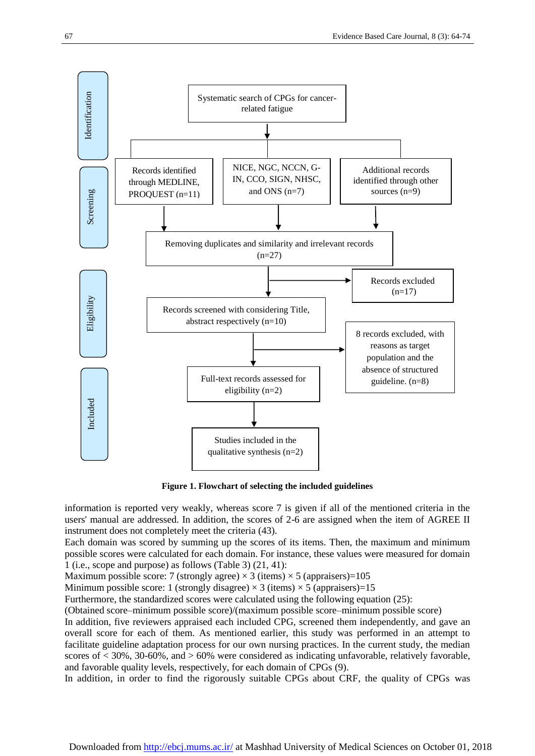

**Figure 1. Flowchart of selecting the included guidelines**

information is reported very weakly, whereas score 7 is given if all of the mentioned criteria in the users' manual are addressed. In addition, the scores of 2-6 are assigned when the item of AGREE II instrument does not completely meet the criteria [\(43\)](#page-11-0).

Each domain was scored by summing up the scores of its items. Then, the maximum and minimum possible scores were calculated for each domain. For instance, these values were measured for domain 1 (i.e., scope and purpose) as follows (Table 3) [\(21,](#page-9-17) [41\)](#page-10-15):

Maximum possible score: 7 (strongly agree)  $\times$  3 (items)  $\times$  5 (appraisers)=105

Minimum possible score: 1 (strongly disagree)  $\times$  3 (items)  $\times$  5 (appraisers)=15

Furthermore, the standardized scores were calculated using the following equation [\(25\)](#page-10-3):

(Obtained score–minimum possible score)/(maximum possible score–minimum possible score)

In addition, five reviewers appraised each included CPG, screened them independently, and gave an overall score for each of them. As mentioned earlier, this study was performed in an attempt to facilitate guideline adaptation process for our own nursing practices. In the current study, the median scores of < 30%, 30-60%, and > 60% were considered as indicating unfavorable, relatively favorable, and favorable quality levels, respectively, for each domain of CPGs [\(9\)](#page-9-8).

In addition, in order to find the rigorously suitable CPGs about CRF, the quality of CPGs was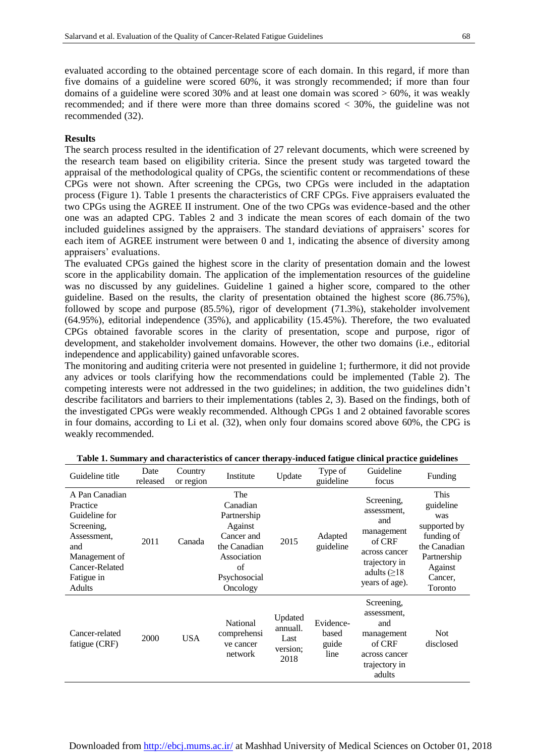evaluated according to the obtained percentage score of each domain. In this regard, if more than five domains of a guideline were scored 60%, it was strongly recommended; if more than four domains of a guideline were scored 30% and at least one domain was scored > 60%, it was weakly recommended; and if there were more than three domains scored < 30%, the guideline was not recommended [\(32\)](#page-10-8).

#### **Results**

The search process resulted in the identification of 27 relevant documents, which were screened by the research team based on eligibility criteria. Since the present study was targeted toward the appraisal of the methodological quality of CPGs, the scientific content or recommendations of these CPGs were not shown. After screening the CPGs, two CPGs were included in the adaptation process (Figure 1). Table 1 presents the characteristics of CRF CPGs. Five appraisers evaluated the two CPGs using the AGREE II instrument. One of the two CPGs was evidence-based and the other one was an adapted CPG. Tables 2 and 3 indicate the mean scores of each domain of the two included guidelines assigned by the appraisers. The standard deviations of appraisers' scores for each item of AGREE instrument were between 0 and 1, indicating the absence of diversity among appraisers' evaluations.

The evaluated CPGs gained the highest score in the clarity of presentation domain and the lowest score in the applicability domain. The application of the implementation resources of the guideline was no discussed by any guidelines. Guideline 1 gained a higher score, compared to the other guideline. Based on the results, the clarity of presentation obtained the highest score (86.75%), followed by scope and purpose (85.5%), rigor of development (71.3%), stakeholder involvement (64.95%), editorial independence (35%), and applicability (15.45%). Therefore, the two evaluated CPGs obtained favorable scores in the clarity of presentation, scope and purpose, rigor of development, and stakeholder involvement domains. However, the other two domains (i.e., editorial independence and applicability) gained unfavorable scores.

The monitoring and auditing criteria were not presented in guideline 1; furthermore, it did not provide any advices or tools clarifying how the recommendations could be implemented (Table 2). The competing interests were not addressed in the two guidelines; in addition, the two guidelines didn't describe facilitators and barriers to their implementations (tables 2, 3). Based on the findings, both of the investigated CPGs were weakly recommended. Although CPGs 1 and 2 obtained favorable scores in four domains, according to Li et al. [\(32\)](#page-10-8), when only four domains scored above 60%, the CPG is weakly recommended.

| Guideline title                                                                                                                            | Date<br>released | Country<br>or region | Institute                                                                                                                | Update                                          | Type of<br>guideline                | Guideline<br>focus                                                                                                                 | Funding                                                                                                                |
|--------------------------------------------------------------------------------------------------------------------------------------------|------------------|----------------------|--------------------------------------------------------------------------------------------------------------------------|-------------------------------------------------|-------------------------------------|------------------------------------------------------------------------------------------------------------------------------------|------------------------------------------------------------------------------------------------------------------------|
| A Pan Canadian<br>Practice<br>Guideline for<br>Screening,<br>Assessment,<br>and<br>Management of<br>Cancer-Related<br>Fatigue in<br>Adults | 2011             | Canada               | The<br>Canadian<br>Partnership<br>Against<br>Cancer and<br>the Canadian<br>Association<br>of<br>Psychosocial<br>Oncology | 2015                                            | Adapted<br>guideline                | Screening,<br>assessment,<br>and<br>management<br>of CRF<br>across cancer<br>trajectory in<br>adults $( \geq 18$<br>years of age). | This<br>guideline<br>was<br>supported by<br>funding of<br>the Canadian<br>Partnership<br>Against<br>Cancer,<br>Toronto |
| Cancer-related<br>fatigue (CRF)                                                                                                            | 2000             | <b>USA</b>           | National<br>comprehensi<br>ve cancer<br>network                                                                          | Updated<br>annuall.<br>Last<br>version;<br>2018 | Evidence-<br>based<br>guide<br>line | Screening,<br>assessment.<br>and<br>management<br>of CRF<br>across cancer<br>trajectory in<br>adults                               | <b>Not</b><br>disclosed                                                                                                |

**Table 1. Summary and characteristics of cancer therapy-induced fatigue clinical practice guidelines**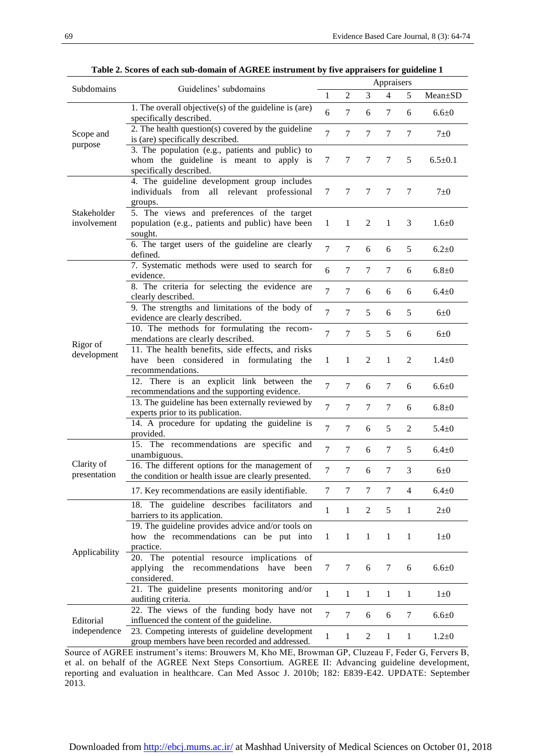|                            |                                                                                                                        | Appraisers     |                |                  |                |                |               |
|----------------------------|------------------------------------------------------------------------------------------------------------------------|----------------|----------------|------------------|----------------|----------------|---------------|
| Subdomains                 | Guidelines' subdomains                                                                                                 |                | $\overline{2}$ | 3                | $\overline{4}$ | 5              | $Mean \pm SD$ |
| Scope and<br>purpose       | 1. The overall objective(s) of the guideline is (are)<br>specifically described.                                       | 6              | 7              | 6                | 7              | 6              | $6.6 \pm 0$   |
|                            | 2. The health question(s) covered by the guideline<br>is (are) specifically described.                                 | 7              | $\tau$         | 7                | 7              | 7              | $7\pm0$       |
|                            | 3. The population (e.g., patients and public) to<br>whom the guideline is meant to apply is<br>specifically described. | 7              | 7              | 7                | 7              | 5              | $6.5 \pm 0.1$ |
| Stakeholder<br>involvement | 4. The guideline development group includes<br>individuals<br>from all relevant professional<br>groups.                | 7              | 7              | 7                | 7              | 7              | $7\pm0$       |
|                            | 5. The views and preferences of the target<br>population (e.g., patients and public) have been<br>sought.              | $\mathbf{1}$   | $\mathbf{1}$   | 2                | 1              | 3              | $1.6 + 0$     |
|                            | 6. The target users of the guideline are clearly<br>defined.                                                           | $\overline{7}$ | $\tau$         | 6                | 6              | 5              | $6.2 \pm 0$   |
| Rigor of<br>development    | 7. Systematic methods were used to search for<br>evidence.                                                             | 6              | $\tau$         | 7                | $\tau$         | 6              | $6.8 + 0$     |
|                            | 8. The criteria for selecting the evidence are<br>clearly described.                                                   | 7              | $\tau$         | 6                | 6              | 6              | $6.4 \pm 0$   |
|                            | 9. The strengths and limitations of the body of<br>evidence are clearly described.                                     | $\overline{7}$ | $\tau$         | 5                | 6              | 5              | $6\pm0$       |
|                            | 10. The methods for formulating the recom-<br>mendations are clearly described.                                        | 7              | $\tau$         | 5                | 5              | 6              | $6\pm0$       |
|                            | 11. The health benefits, side effects, and risks<br>have been considered in formulating the<br>recommendations.        | $\mathbf{1}$   | $\mathbf{1}$   | 2                | 1              | 2              | $1.4 \pm 0$   |
|                            | 12. There is an explicit link between the<br>recommendations and the supporting evidence.                              | $\tau$         | $\tau$         | 6                | $\tau$         | 6              | $6.6 + 0$     |
|                            | 13. The guideline has been externally reviewed by<br>experts prior to its publication.                                 | $\tau$         | $\tau$         | 7                | $\tau$         | 6              | $6.8 + 0$     |
|                            | 14. A procedure for updating the guideline is<br>provided.                                                             | $\overline{7}$ | $\tau$         | 6                | 5              | $\overline{c}$ | $5.4 \pm 0$   |
| Clarity of<br>presentation | 15. The recommendations are specific and<br>unambiguous.                                                               | $\tau$         | $\tau$         | 6                | 7              | 5              | $6.4 \pm 0$   |
|                            | 16. The different options for the management of<br>the condition or health issue are clearly presented.                | 7              | 7              | 6                | 7              | 3              | $6\pm0$       |
|                            | 17. Key recommendations are easily identifiable.                                                                       | 7              | 7              | 7                | 7              | 4              | $6.4 \pm 0$   |
| Applicability              | 18. The guideline describes facilitators and<br>barriers to its application.                                           | $\mathbf{1}$   | $\mathbf{1}$   | 2                | 5              | $\mathbf{1}$   | $2 \pm 0$     |
|                            | 19. The guideline provides advice and/or tools on<br>how the recommendations can be put into<br>practice.              | 1              | $\mathbf{1}$   | $\mathbf{1}$     | $\mathbf{1}$   | $\mathbf{1}$   | $1\pm 0$      |
|                            | 20. The potential resource implications of<br>applying<br>the recommendations have been<br>considered.                 | $\tau$         | 7              | 6                | 7              | 6              | $6.6 + 0$     |
|                            | 21. The guideline presents monitoring and/or<br>auditing criteria.                                                     | 1              | $\mathbf{1}$   | $\mathbf{1}$     | $\mathbf{1}$   | $\mathbf{1}$   | $1\pm 0$      |
| Editorial<br>independence  | 22. The views of the funding body have not<br>influenced the content of the guideline.                                 | 7              | 7              | 6                | 6              | 7              | $6.6 + 0$     |
|                            | 23. Competing interests of guideline development<br>group members have been recorded and addressed.                    | 1              | $\mathbf{1}$   | $\boldsymbol{2}$ | $\mathbf{1}$   | $\mathbf{1}$   | $1.2 \pm 0$   |

**Table 2. Scores of each sub-domain of AGREE instrument by five appraisers for guideline 1**

Source of AGREE instrument's items: Brouwers M, Kho ME, Browman GP, Cluzeau F, Feder G, Fervers B, et al. on behalf of the AGREE Next Steps Consortium. AGREE II: Advancing guideline development, reporting and evaluation in healthcare. Can Med Assoc J. 2010b; 182: E839-E42. UPDATE: September 2013.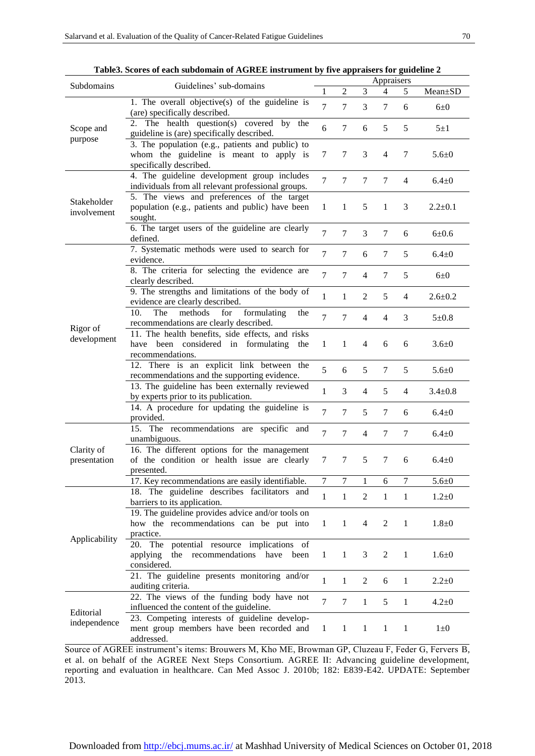|                            | radies. Scores of each subdomain or $\bf A$ GNEE instrument by rive appraisers for guideline $\bf 2$                    | Appraisers          |                |                |                |                |               |  |
|----------------------------|-------------------------------------------------------------------------------------------------------------------------|---------------------|----------------|----------------|----------------|----------------|---------------|--|
| Subdomains                 | Guidelines' sub-domains                                                                                                 |                     | 2              | 3              | 4              | 5              | Mean±SD       |  |
| Scope and<br>purpose       | 1. The overall objective(s) of the guideline is                                                                         | 1<br>$\overline{7}$ | 7              | 3              | 7              | 6              | $6\pm0$       |  |
|                            | (are) specifically described.<br>2. The health question(s) covered by the<br>guideline is (are) specifically described. | 6                   | $\tau$         | 6              | 5              | 5              | $5\pm1$       |  |
|                            | 3. The population (e.g., patients and public) to<br>whom the guideline is meant to apply is<br>specifically described.  | 7                   | 7              | 3              | 4              | 7              | $5.6 \pm 0$   |  |
| Stakeholder<br>involvement | 4. The guideline development group includes<br>individuals from all relevant professional groups.                       | $\overline{7}$      | $\tau$         | 7              | 7              | $\overline{4}$ | $6.4 \pm 0$   |  |
|                            | 5. The views and preferences of the target<br>population (e.g., patients and public) have been<br>sought.               | 1                   | 1              | 5              | 1              | 3              | $2.2 \pm 0.1$ |  |
|                            | 6. The target users of the guideline are clearly<br>defined.                                                            | $\overline{7}$      | $\tau$         | 3              | $\tau$         | 6              | $6 + 0.6$     |  |
| Rigor of<br>development    | 7. Systematic methods were used to search for<br>evidence.                                                              | $\overline{7}$      | $\tau$         | 6              | 7              | 5              | $6.4 + 0$     |  |
|                            | 8. The criteria for selecting the evidence are<br>clearly described.                                                    | $\overline{7}$      | 7              | $\overline{4}$ | 7              | 5              | $6\pm0$       |  |
|                            | 9. The strengths and limitations of the body of<br>evidence are clearly described.                                      | $\mathbf{1}$        | 1              | $\overline{2}$ | 5              | $\overline{4}$ | $2.6 + 0.2$   |  |
|                            | The<br>methods<br>10.<br>for<br>formulating<br>the<br>recommendations are clearly described.                            | $\overline{7}$      | $\tau$         | $\overline{4}$ | $\overline{4}$ | 3              | $5 \pm 0.8$   |  |
|                            | 11. The health benefits, side effects, and risks<br>have been considered in formulating the<br>recommendations.         | $\mathbf{1}$        | 1              | $\overline{4}$ | 6              | 6              | $3.6 + 0$     |  |
|                            | 12. There is an explicit link between the<br>recommendations and the supporting evidence.                               | 5                   | 6              | 5              | 7              | 5              | $5.6 + 0$     |  |
|                            | 13. The guideline has been externally reviewed<br>by experts prior to its publication.                                  | 1                   | 3              | $\overline{4}$ | 5              | 4              | $3.4 \pm 0.8$ |  |
|                            | 14. A procedure for updating the guideline is<br>provided.                                                              | $\overline{7}$      | 7              | 5              | 7              | 6              | $6.4 \pm 0$   |  |
| Clarity of<br>presentation | 15. The recommendations are specific and<br>unambiguous.                                                                | $\overline{7}$      | 7              | $\overline{4}$ | 7              | 7              | $6.4 \pm 0$   |  |
|                            | 16. The different options for the management<br>of the condition or health issue are clearly<br>presented.              | 7                   | 7              | 5              | 7              | 6              | $6.4 \pm 0$   |  |
|                            | 17. Key recommendations are easily identifiable.                                                                        | 7                   | $\overline{7}$ |                | 6              | 7              | $5.6 + 0$     |  |
| Applicability              | 18. The guideline describes facilitators and<br>barriers to its application.                                            | $\mathbf{1}$        | 1              | $\overline{2}$ | 1              | $\mathbf{1}$   | $1.2 + 0$     |  |
|                            | 19. The guideline provides advice and/or tools on<br>how the recommendations can be put into<br>practice.               | $\mathbf{1}$        | 1              | $\overline{4}$ | 2              | 1              | $1.8 + 0$     |  |
|                            | 20. The potential resource implications of<br>the recommendations have been<br>applying<br>considered.                  | 1                   | 1              | 3              | 2              | 1              | $1.6 \pm 0$   |  |
|                            | 21. The guideline presents monitoring and/or<br>auditing criteria.                                                      | $\mathbf{1}$        | $\mathbf{1}$   | 2              | 6              | $\mathbf{1}$   | $2.2 \pm 0$   |  |
| Editorial<br>independence  | 22. The views of the funding body have not<br>influenced the content of the guideline.                                  | $\overline{7}$      | 7              | 1              | 5              | 1              | $4.2 \pm 0$   |  |
|                            | 23. Competing interests of guideline develop-<br>ment group members have been recorded and<br>addressed.                | 1                   | 1              | $\mathbf{1}$   | $\mathbf{1}$   | $\mathbf{1}$   | $1\pm 0$      |  |

**Table3. Scores of each subdomain of AGREE instrument by five appraisers for guideline 2**

Source of AGREE instrument's items: Brouwers M, Kho ME, Browman GP, Cluzeau F, Feder G, Fervers B, et al. on behalf of the AGREE Next Steps Consortium. AGREE II: Advancing guideline development, reporting and evaluation in healthcare. Can Med Assoc J. 2010b; 182: E839-E42. UPDATE: September 2013.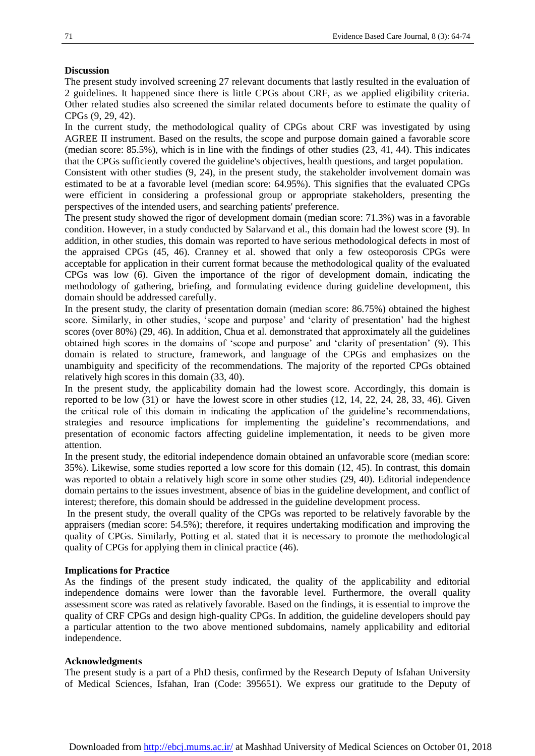#### **Discussion**

The present study involved screening 27 relevant documents that lastly resulted in the evaluation of 2 guidelines. It happened since there is little CPGs about CRF, as we applied eligibility criteria. Other related studies also screened the similar related documents before to estimate the quality of CPGs [\(9,](#page-9-8) [29,](#page-10-7) [42\)](#page-10-16).

In the current study, the methodological quality of CPGs about CRF was investigated by using AGREE II instrument. Based on the results, the scope and purpose domain gained a favorable score (median score: 85.5%), which is in line with the findings of other studies [\(23,](#page-10-1) [41,](#page-10-15) [44\)](#page-11-1). This indicates that the CPGs sufficiently covered the guideline's objectives, health questions, and target population.

Consistent with other studies [\(9,](#page-9-8) [24\)](#page-10-2), in the present study, the stakeholder involvement domain was estimated to be at a favorable level (median score: 64.95%). This signifies that the evaluated CPGs were efficient in considering a professional group or appropriate stakeholders, presenting the perspectives of the intended users, and searching patients' preference.

The present study showed the rigor of development domain (median score: 71.3%) was in a favorable condition. However, in a study conducted by Salarvand et al., this domain had the lowest score [\(9\)](#page-9-8). In addition, in other studies, this domain was reported to have serious methodological defects in most of the appraised CPGs [\(45,](#page-11-2) [46\)](#page-11-3). Cranney et al. showed that only a few osteoporosis CPGs were acceptable for application in their current format because the methodological quality of the evaluated CPGs was low [\(6\)](#page-9-5). Given the importance of the rigor of development domain, indicating the methodology of gathering, briefing, and formulating evidence during guideline development, this domain should be addressed carefully.

In the present study, the clarity of presentation domain (median score: 86.75%) obtained the highest score. Similarly, in other studies, 'scope and purpose' and 'clarity of presentation' had the highest scores (over 80%) [\(29,](#page-10-7) [46\)](#page-11-3). In addition, Chua et al. demonstrated that approximately all the guidelines obtained high scores in the domains of 'scope and purpose' and 'clarity of presentation' [\(9\)](#page-9-8). This domain is related to structure, framework, and language of the CPGs and emphasizes on the unambiguity and specificity of the recommendations. The majority of the reported CPGs obtained relatively high scores in this domain [\(33,](#page-10-12) [40\)](#page-10-14).

In the present study, the applicability domain had the lowest score. Accordingly, this domain is reported to be low (31) or have the lowest score in other studies [\(12,](#page-9-11) [14,](#page-9-13) [22,](#page-10-0) [24,](#page-10-2) [28,](#page-10-6) [33,](#page-10-12) [46\)](#page-11-3). Given the critical role of this domain in indicating the application of the guideline's recommendations, strategies and resource implications for implementing the guideline's recommendations, and presentation of economic factors affecting guideline implementation, it needs to be given more attention.

In the present study, the editorial independence domain obtained an unfavorable score (median score: 35%). Likewise, some studies reported a low score for this domain [\(12,](#page-9-11) [45\)](#page-11-2). In contrast, this domain was reported to obtain a relatively high score in some other studies [\(29,](#page-10-7) [40\)](#page-10-14). Editorial independence domain pertains to the issues investment, absence of bias in the guideline development, and conflict of interest; therefore, this domain should be addressed in the guideline development process.

In the present study, the overall quality of the CPGs was reported to be relatively favorable by the appraisers (median score: 54.5%); therefore, it requires undertaking modification and improving the quality of CPGs. Similarly, Potting et al. stated that it is necessary to promote the methodological quality of CPGs for applying them in clinical practice [\(46\)](#page-11-3).

#### **Implications for Practice**

As the findings of the present study indicated, the quality of the applicability and editorial independence domains were lower than the favorable level. Furthermore, the overall quality assessment score was rated as relatively favorable. Based on the findings, it is essential to improve the quality of CRF CPGs and design high-quality CPGs. In addition, the guideline developers should pay a particular attention to the two above mentioned subdomains, namely applicability and editorial independence.

#### **Acknowledgments**

The present study is a part of a PhD thesis, confirmed by the Research Deputy of Isfahan University of Medical Sciences, Isfahan, Iran (Code: 395651). We express our gratitude to the Deputy of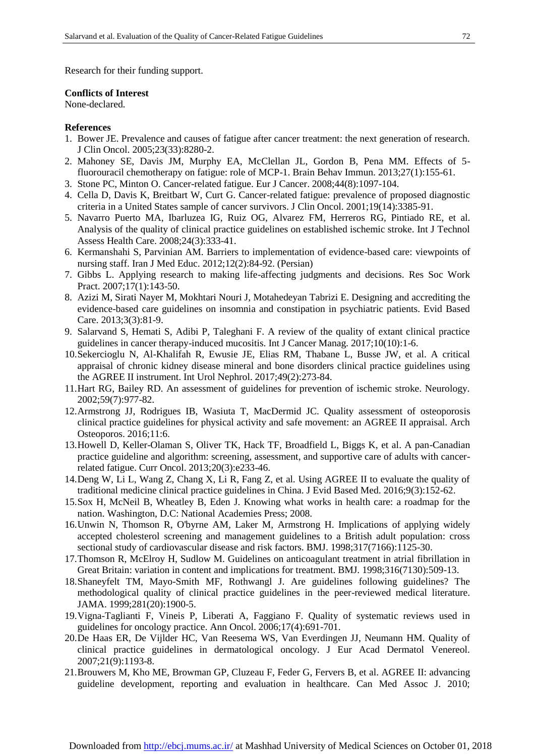Research for their funding support.

#### **Conflicts of Interest**

None-declared.

#### **References**

- <span id="page-9-0"></span>1. Bower JE. Prevalence and causes of fatigue after cancer treatment: the next generation of research. J Clin Oncol. 2005;23(33):8280-2.
- <span id="page-9-1"></span>2. Mahoney SE, Davis JM, Murphy EA, McClellan JL, Gordon B, Pena MM. Effects of 5 fluorouracil chemotherapy on fatigue: role of MCP-1. Brain Behav Immun. 2013;27(1):155-61.
- <span id="page-9-2"></span>3. Stone PC, Minton O. Cancer-related fatigue. Eur J Cancer. 2008;44(8):1097-104.
- <span id="page-9-3"></span>4. Cella D, Davis K, Breitbart W, Curt G. Cancer-related fatigue: prevalence of proposed diagnostic criteria in a United States sample of cancer survivors. J Clin Oncol. 2001;19(14):3385-91.
- <span id="page-9-4"></span>5. Navarro Puerto MA, Ibarluzea IG, Ruiz OG, Alvarez FM, Herreros RG, Pintiado RE, et al. Analysis of the quality of clinical practice guidelines on established ischemic stroke. Int J Technol Assess Health Care. 2008;24(3):333-41.
- <span id="page-9-5"></span>6. Kermanshahi S, Parvinian AM. Barriers to implementation of evidence-based care: viewpoints of nursing staff. Iran J Med Educ. 2012;12(2):84-92. (Persian)
- <span id="page-9-6"></span>7. Gibbs L. Applying research to making life-affecting judgments and decisions. Res Soc Work Pract. 2007;17(1):143-50.
- <span id="page-9-7"></span>8. Azizi M, Sirati Nayer M, Mokhtari Nouri J, Motahedeyan Tabrizi E. Designing and accrediting the evidence-based care guidelines on insomnia and constipation in psychiatric patients. Evid Based Care. 2013;3(3):81-9.
- <span id="page-9-8"></span>9. Salarvand S, Hemati S, Adibi P, Taleghani F. A review of the quality of extant clinical practice guidelines in cancer therapy-induced mucositis. Int J Cancer Manag. 2017;10(10):1-6.
- <span id="page-9-9"></span>10.Sekercioglu N, Al-Khalifah R, Ewusie JE, Elias RM, Thabane L, Busse JW, et al. A critical appraisal of chronic kidney disease mineral and bone disorders clinical practice guidelines using the AGREE II instrument. Int Urol Nephrol. 2017;49(2):273-84.
- <span id="page-9-10"></span>11.Hart RG, Bailey RD. An assessment of guidelines for prevention of ischemic stroke. Neurology. 2002;59(7):977-82.
- <span id="page-9-11"></span>12.Armstrong JJ, Rodrigues IB, Wasiuta T, MacDermid JC. Quality assessment of osteoporosis clinical practice guidelines for physical activity and safe movement: an AGREE II appraisal. Arch Osteoporos. 2016;11:6.
- <span id="page-9-12"></span>13.Howell D, Keller-Olaman S, Oliver TK, Hack TF, Broadfield L, Biggs K, et al. A pan-Canadian practice guideline and algorithm: screening, assessment, and supportive care of adults with cancerrelated fatigue. Curr Oncol. 2013;20(3):e233-46.
- <span id="page-9-13"></span>14.Deng W, Li L, Wang Z, Chang X, Li R, Fang Z, et al. Using AGREE II to evaluate the quality of traditional medicine clinical practice guidelines in China. J Evid Based Med. 2016;9(3):152-62.
- <span id="page-9-14"></span>15.Sox H, McNeil B, Wheatley B, Eden J. Knowing what works in health care: a roadmap for the nation. Washington, D.C: National Academies Press; 2008.
- <span id="page-9-15"></span>16.Unwin N, Thomson R, O'byrne AM, Laker M, Armstrong H. Implications of applying widely accepted cholesterol screening and management guidelines to a British adult population: cross sectional study of cardiovascular disease and risk factors. BMJ. 1998;317(7166):1125-30.
- <span id="page-9-16"></span>17.Thomson R, McElroy H, Sudlow M. Guidelines on anticoagulant treatment in atrial fibrillation in Great Britain: variation in content and implications for treatment. BMJ. 1998;316(7130):509-13.
- <span id="page-9-18"></span>18.Shaneyfelt TM, Mayo-Smith MF, Rothwangl J. Are guidelines following guidelines? The methodological quality of clinical practice guidelines in the peer-reviewed medical literature. JAMA. 1999;281(20):1900-5.
- 19.Vigna-Taglianti F, Vineis P, Liberati A, Faggiano F. Quality of systematic reviews used in guidelines for oncology practice. Ann Oncol. 2006;17(4):691-701.
- <span id="page-9-19"></span>20.De Haas ER, De Vijlder HC, Van Reesema WS, Van Everdingen JJ, Neumann HM. Quality of clinical practice guidelines in dermatological oncology. J Eur Acad Dermatol Venereol. 2007;21(9):1193-8.
- <span id="page-9-17"></span>21.Brouwers M, Kho ME, Browman GP, Cluzeau F, Feder G, Fervers B, et al. AGREE II: advancing guideline development, reporting and evaluation in healthcare. Can Med Assoc J. 2010;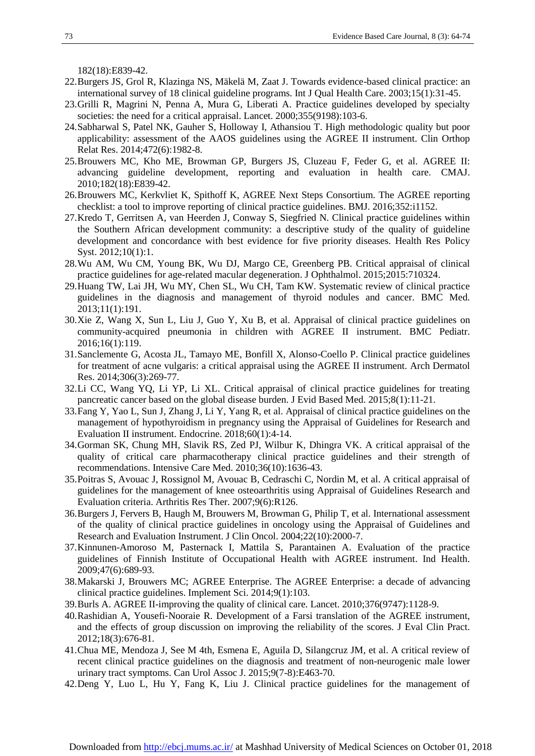182(18):E839-42.

- <span id="page-10-0"></span>22.Burgers JS, Grol R, Klazinga NS, Mäkelä M, Zaat J. Towards evidence-based clinical practice: an international survey of 18 clinical guideline programs. Int J Qual Health Care. 2003;15(1):31-45.
- <span id="page-10-1"></span>23.Grilli R, Magrini N, Penna A, Mura G, Liberati A. Practice guidelines developed by specialty societies: the need for a critical appraisal. Lancet. 2000;355(9198):103-6.
- <span id="page-10-2"></span>24.Sabharwal S, Patel NK, Gauher S, Holloway I, Athansiou T. High methodologic quality but poor applicability: assessment of the AAOS guidelines using the AGREE II instrument. Clin Orthop Relat Res. 2014;472(6):1982-8.
- <span id="page-10-3"></span>25.Brouwers MC, Kho ME, Browman GP, Burgers JS, Cluzeau F, Feder G, et al. AGREE II: advancing guideline development, reporting and evaluation in health care. CMAJ. 2010;182(18):E839-42.
- <span id="page-10-4"></span>26.Brouwers MC, Kerkvliet K, Spithoff K, AGREE Next Steps Consortium. The AGREE reporting checklist: a tool to improve reporting of clinical practice guidelines. BMJ. 2016;352:i1152.
- <span id="page-10-5"></span>27.Kredo T, Gerritsen A, van Heerden J, Conway S, Siegfried N. Clinical practice guidelines within the Southern African development community: a descriptive study of the quality of guideline development and concordance with best evidence for five priority diseases. Health Res Policy Syst. 2012;10(1):1.
- <span id="page-10-6"></span>28.Wu AM, Wu CM, Young BK, Wu DJ, Margo CE, Greenberg PB. Critical appraisal of clinical practice guidelines for age-related macular degeneration. J Ophthalmol. 2015;2015:710324.
- <span id="page-10-7"></span>29.Huang TW, Lai JH, Wu MY, Chen SL, Wu CH, Tam KW. Systematic review of clinical practice guidelines in the diagnosis and management of thyroid nodules and cancer. BMC Med. 2013;11(1):191.
- <span id="page-10-11"></span>30.Xie Z, Wang X, Sun L, Liu J, Guo Y, Xu B, et al. Appraisal of clinical practice guidelines on community-acquired pneumonia in children with AGREE II instrument. BMC Pediatr. 2016;16(1):119.
- <span id="page-10-9"></span>31.Sanclemente G, Acosta JL, Tamayo ME, Bonfill X, Alonso-Coello P. Clinical practice guidelines for treatment of acne vulgaris: a critical appraisal using the AGREE II instrument. Arch Dermatol Res. 2014;306(3):269-77.
- <span id="page-10-8"></span>32.Li CC, Wang YQ, Li YP, Li XL. Critical appraisal of clinical practice guidelines for treating pancreatic cancer based on the global disease burden. J Evid Based Med. 2015;8(1):11-21.
- <span id="page-10-12"></span>33.Fang Y, Yao L, Sun J, Zhang J, Li Y, Yang R, et al. Appraisal of clinical practice guidelines on the management of hypothyroidism in pregnancy using the Appraisal of Guidelines for Research and Evaluation II instrument. Endocrine. 2018;60(1):4-14.
- 34.Gorman SK, Chung MH, Slavik RS, Zed PJ, Wilbur K, Dhingra VK. A critical appraisal of the quality of critical care pharmacotherapy clinical practice guidelines and their strength of recommendations. Intensive Care Med. 2010;36(10):1636-43.
- 35.Poitras S, Avouac J, Rossignol M, Avouac B, Cedraschi C, Nordin M, et al. A critical appraisal of guidelines for the management of knee osteoarthritis using Appraisal of Guidelines Research and Evaluation criteria. Arthritis Res Ther. 2007;9(6):R126.
- 36.Burgers J, Fervers B, Haugh M, Brouwers M, Browman G, Philip T, et al. International assessment of the quality of clinical practice guidelines in oncology using the Appraisal of Guidelines and Research and Evaluation Instrument. J Clin Oncol. 2004;22(10):2000-7.
- 37.Kinnunen-Amoroso M, Pasternack I, Mattila S, Parantainen A. Evaluation of the practice guidelines of Finnish Institute of Occupational Health with AGREE instrument. Ind Health. 2009;47(6):689-93.
- <span id="page-10-10"></span>38.Makarski J, Brouwers MC; AGREE Enterprise. The AGREE Enterprise: a decade of advancing clinical practice guidelines. Implement Sci. 2014;9(1):103.
- <span id="page-10-13"></span>39.Burls A. AGREE II-improving the quality of clinical care. Lancet. 2010;376(9747):1128-9.
- <span id="page-10-14"></span>40.Rashidian A, Yousefi‐Nooraie R. Development of a Farsi translation of the AGREE instrument, and the effects of group discussion on improving the reliability of the scores. J Eval Clin Pract. 2012;18(3):676-81.
- <span id="page-10-15"></span>41.Chua ME, Mendoza J, See M 4th, Esmena E, Aguila D, Silangcruz JM, et al. A critical review of recent clinical practice guidelines on the diagnosis and treatment of non-neurogenic male lower urinary tract symptoms. Can Urol Assoc J. 2015;9(7-8):E463-70.
- <span id="page-10-16"></span>42.Deng Y, Luo L, Hu Y, Fang K, Liu J. Clinical practice guidelines for the management of